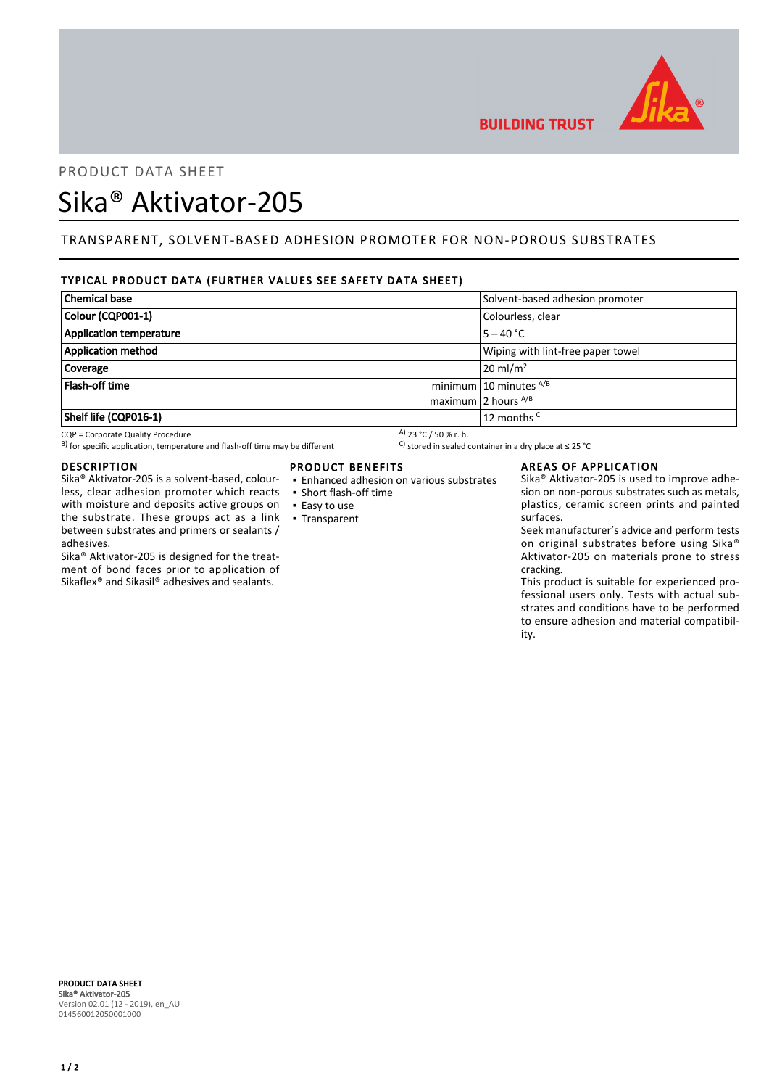

# PRODUCT DATA SHEET

# Sika® Aktivator-205

# TRANSPARENT, SOLVENT-BASED ADHESION PROMOTER FOR NON-POROUS SUBSTRATES

# TYPICAL PRODUCT DATA (FURTHER VALUES SEE SAFETY DATA SHEET)

| Chemical base           | Solvent-based adhesion promoter   |
|-------------------------|-----------------------------------|
| Colour (CQP001-1)       | Colourless, clear                 |
| Application temperature | $5 - 40 °C$                       |
| Application method      | Wiping with lint-free paper towel |
| Coverage                | $20 \text{ m}$ / $\text{m}^2$     |
| <b>Flash-off time</b>   | minimum 10 minutes $^{A/B}$       |
|                         | maximum 2 hours $^{A/B}$          |
| Shelf life (CQP016-1)   | 12 months <sup>C</sup>            |

CQP = Corporate Quality Procedure<br>
B) for specific application, temperature and flash-off time may be different  $\begin{array}{c} \text{A)}$  23 °C / 50 % r. h.<br>
A) 23 °C / 50 % r. h. B) for specific application, temperature and flash-off time may be different

#### DESCRIPTION

Sika® Aktivator-205 is a solvent-based, colourless, clear adhesion promoter which reacts with moisture and deposits active groups on the substrate. These groups act as a link between substrates and primers or sealants / adhesives.

Sika® Aktivator-205 is designed for the treatment of bond faces prior to application of Sikaflex® and Sikasil® adhesives and sealants.

# PRODUCT BENEFITS

- Enhanced adhesion on various substrates
- Short flash-off time
- Easy to use
- Transparent

## AREAS OF APPLICATION

Sika® Aktivator-205 is used to improve adhesion on non-porous substrates such as metals, plastics, ceramic screen prints and painted surfaces.

Seek manufacturer's advice and perform tests on original substrates before using Sika® Aktivator-205 on materials prone to stress cracking.

This product is suitable for experienced professional users only. Tests with actual substrates and conditions have to be performed to ensure adhesion and material compatibility.

PRODUCT DATA SHEET Sika® Aktivator-205 Version 02.01 (12 - 2019), en\_AU 014560012050001000